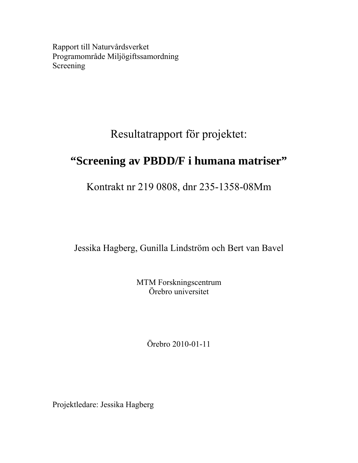Rapport till Naturvårdsverket Programområde Miljögiftssamordning Screening

# Resultatrapport för projektet:

# **"Screening av PBDD/F i humana matriser"**

Kontrakt nr 219 0808, dnr 235-1358-08Mm

Jessika Hagberg, Gunilla Lindström och Bert van Bavel

MTM Forskningscentrum Örebro universitet

Örebro 2010-01-11

Projektledare: Jessika Hagberg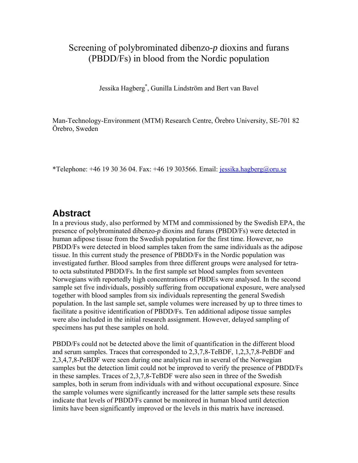# Screening of polybrominated dibenzo-*p* dioxins and furans (PBDD/Fs) in blood from the Nordic population

Jessika Hagberg\* , Gunilla Lindström and Bert van Bavel

Man-Technology-Environment (MTM) Research Centre, Örebro University, SE-701 82 Örebro, Sweden

\*Telephone:  $+46$  19 30 36 04. Fax:  $+46$  19 303566. Email: [jessika.hagberg@oru.se](mailto:jessika.hagberg@oru.se)

### **Abstract**

In a previous study, also performed by MTM and commissioned by the Swedish EPA, the presence of polybrominated dibenzo-*p* dioxins and furans (PBDD/Fs) were detected in human adipose tissue from the Swedish population for the first time. However, no PBDD/Fs were detected in blood samples taken from the same individuals as the adipose tissue. In this current study the presence of PBDD/Fs in the Nordic population was investigated further. Blood samples from three different groups were analysed for tetrato octa substituted PBDD/Fs. In the first sample set blood samples from seventeen Norwegians with reportedly high concentrations of PBDEs were analysed. In the second sample set five individuals, possibly suffering from occupational exposure, were analysed together with blood samples from six individuals representing the general Swedish population. In the last sample set, sample volumes were increased by up to three times to facilitate a positive identification of PBDD/Fs. Ten additional adipose tissue samples were also included in the initial research assignment. However, delayed sampling of specimens has put these samples on hold.

PBDD/Fs could not be detected above the limit of quantification in the different blood and serum samples. Traces that corresponded to 2,3,7,8-TeBDF, 1,2,3,7,8-PeBDF and 2,3,4,7,8-PeBDF were seen during one analytical run in several of the Norwegian samples but the detection limit could not be improved to verify the presence of PBDD/Fs in these samples. Traces of 2,3,7,8-TeBDF were also seen in three of the Swedish samples, both in serum from individuals with and without occupational exposure. Since the sample volumes were significantly increased for the latter sample sets these results indicate that levels of PBDD/Fs cannot be monitored in human blood until detection limits have been significantly improved or the levels in this matrix have increased.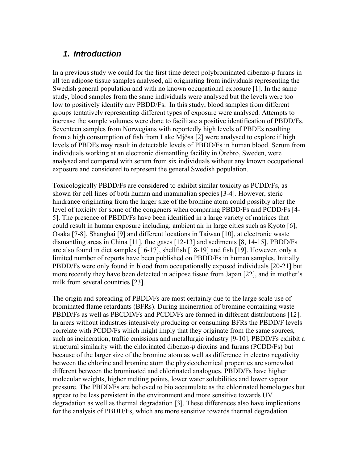#### *1. Introduction*

In a previous study we could for the first time detect polybrominated dibenzo-*p* furans in all ten adipose tissue samples analysed, all originating from individuals representing the Swedish general population and with no known occupational exposure [1]. In the same study, blood samples from the same individuals were analysed but the levels were too low to positively identify any PBDD/Fs. In this study, blood samples from different groups tentatively representing different types of exposure were analysed. Attempts to increase the sample volumes were done to facilitate a positive identification of PBDD/Fs. Seventeen samples from Norwegians with reportedly high levels of PBDEs resulting from a high consumption of fish from Lake Mjösa [2] were analysed to explore if high levels of PBDEs may result in detectable levels of PBDD/Fs in human blood. Serum from individuals working at an electronic dismantling facility in Örebro, Sweden, were analysed and compared with serum from six individuals without any known occupational exposure and considered to represent the general Swedish population.

Toxicologically PBDD/Fs are considered to exhibit similar toxicity as PCDD/Fs, as shown for cell lines of both human and mammalian species [3-4]. However, steric hindrance originating from the larger size of the bromine atom could possibly alter the level of toxicity for some of the congeners when comparing PBDD/Fs and PCDD/Fs [4- 5]. The presence of PBDD/Fs have been identified in a large variety of matrices that could result in human exposure including; ambient air in large cities such as Kyoto [6], Osaka [7-8], Shanghai [9] and different locations in Taiwan [10], at electronic waste dismantling areas in China [11], flue gases [12-13] and sediments [8, 14-15]. PBDD/Fs are also found in diet samples [16-17], shellfish [18-19] and fish [19]. However, only a limited number of reports have been published on PBDD/Fs in human samples. Initially PBDD/Fs were only found in blood from occupationally exposed individuals [20-21] but more recently they have been detected in adipose tissue from Japan [22], and in mother's milk from several countries [23].

The origin and spreading of PBDD/Fs are most certainly due to the large scale use of brominated flame retardants (BFRs). During incineration of bromine containing waste PBDD/Fs as well as PBCDD/Fs and PCDD/Fs are formed in different distributions [12]. In areas without industries intensively producing or consuming BFRs the PBDD/F levels correlate with PCDD/Fs which might imply that they originate from the same sources, such as incineration, traffic emissions and metallurgic industry [9-10]. PBDD/Fs exhibit a structural similarity with the chlorinated dibenzo-*p* dioxins and furans (PCDD/Fs) but because of the larger size of the bromine atom as well as difference in electro negativity between the chlorine and bromine atom the physicochemical properties are somewhat different between the brominated and chlorinated analogues. PBDD/Fs have higher molecular weights, higher melting points, lower water solubilities and lower vapour pressure. The PBDD/Fs are believed to bio accumulate as the chlorinated homologues but appear to be less persistent in the environment and more sensitive towards UV degradation as well as thermal degradation [3]. These differences also have implications for the analysis of PBDD/Fs, which are more sensitive towards thermal degradation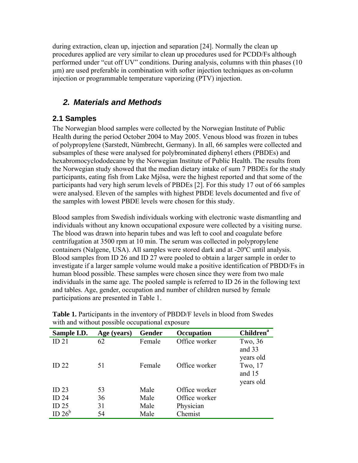during extraction, clean up, injection and separation [24]. Normally the clean up procedures applied are very similar to clean up procedures used for PCDD/Fs although performed under "cut off UV" conditions. During analysis, columns with thin phases (10 μm) are used preferable in combination with softer injection techniques as on-column injection or programmable temperature vaporizing (PTV) injection.

# *2. Materials and Methods*

### **2.1 Samples**

The Norwegian blood samples were collected by the Norwegian Institute of Public Health during the period October 2004 to May 2005. Venous blood was frozen in tubes of polypropylene (Sarstedt, Nümbrecht, Germany). In all, 66 samples were collected and subsamples of these were analysed for polybrominated diphenyl ethers (PBDEs) and hexabromocyclododecane by the Norwegian Institute of Public Health. The results from the Norwegian study showed that the median dietary intake of sum 7 PBDEs for the study participants, eating fish from Lake Mjösa, were the highest reported and that some of the participants had very high serum levels of PBDEs [2]. For this study 17 out of 66 samples were analysed. Eleven of the samples with highest PBDE levels documented and five of the samples with lowest PBDE levels were chosen for this study.

Blood samples from Swedish individuals working with electronic waste dismantling and individuals without any known occupational exposure were collected by a visiting nurse. The blood was drawn into heparin tubes and was left to cool and coagulate before centrifugation at 3500 rpm at 10 min. The serum was collected in polypropylene containers (Nalgene, USA). All samples were stored dark and at -20ºC until analysis. Blood samples from ID 26 and ID 27 were pooled to obtain a larger sample in order to investigate if a larger sample volume would make a positive identification of PBDD/Fs in human blood possible. These samples were chosen since they were from two male individuals in the same age. The pooled sample is referred to ID 26 in the following text and tables. Age, gender, occupation and number of children nursed by female participations are presented in Table 1.

| Sample I.D.        | Age (years) | <b>Gender</b> | Occupation    | <b>Children</b> <sup>a</sup> |
|--------------------|-------------|---------------|---------------|------------------------------|
| ID <sub>21</sub>   | 62          | Female        | Office worker | Two, 36                      |
|                    |             |               |               | and 33                       |
|                    |             |               |               | years old                    |
| ID <sub>22</sub>   | 51          | Female        | Office worker | Two, 17                      |
|                    |             |               |               | and 15                       |
|                    |             |               |               | years old                    |
| ID <sub>23</sub>   | 53          | Male          | Office worker |                              |
| ID <sub>24</sub>   | 36          | Male          | Office worker |                              |
| ID <sub>25</sub>   | 31          | Male          | Physician     |                              |
| ID 26 <sup>b</sup> | 54          | Male          | Chemist       |                              |

**Table 1.** Participants in the inventory of PBDD/F levels in blood from Swedes with and without possible occupational exposure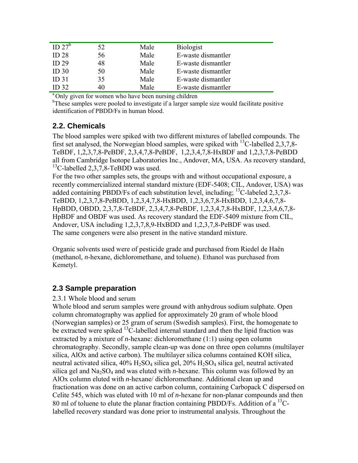| ID $27^b$        | 52 | Male | <b>Biologist</b>   |
|------------------|----|------|--------------------|
| ID <sub>28</sub> | 56 | Male | E-waste dismantler |
| ID <sub>29</sub> | 48 | Male | E-waste dismantler |
| ID <sub>30</sub> | 50 | Male | E-waste dismantler |
| ID <sub>31</sub> | 35 | Male | E-waste dismantler |
| <b>ID 32</b>     |    | Male | E-waste dismantler |

<sup>a</sup> Only given for women who have been nursing children

<sup>b</sup>These samples were pooled to investigate if a larger sample size would facilitate positive identification of PBDD/Fs in human blood.

#### **2.2. Chemicals**

The blood samples were spiked with two different mixtures of labelled compounds. The first set analysed, the Norwegian blood samples, were spiked with <sup>13</sup>C-labelled 2,3,7,8-TeBDF, 1,2,3,7,8-PeBDF, 2,3,4,7,8-PeBDF, 1,2,3,4,7,8-HxBDF and 1,2,3,7,8-PeBDD all from Cambridge Isotope Laboratories Inc., Andover, MA, USA. As recovery standard,  $^{13}$ C-labelled 2,3,7,8-TeBDD was used.

For the two other samples sets, the groups with and without occupational exposure, a recently commercialized internal standard mixture (EDF-5408; CIL, Andover, USA) was added containing PBDD/Fs of each substitution level, including;  $^{13}$ C-labeled 2,3,7,8-TeBDD, 1,2,3,7,8-PeBDD, 1,2,3,4,7,8-HxBDD, 1,2,3,6,7,8-HxBDD, 1,2,3,4,6,7,8- HpBDD, OBDD, 2,3,7,8-TeBDF, 2,3,4,7,8-PeBDF, 1,2,3,4,7,8-HxBDF, 1,2,3,4,6,7,8- HpBDF and OBDF was used. As recovery standard the EDF-5409 mixture from CIL, Andover, USA including 1,2,3,7,8,9-HxBDD and 1,2,3,7,8-PeBDF was used. The same congeners were also present in the native standard mixture.

Organic solvents used were of pesticide grade and purchased from Riedel de Haën (methanol, *n*-hexane, dichloromethane, and toluene). Ethanol was purchased from Kemetyl.

#### **2.3 Sample preparation**

#### 2.3.1 Whole blood and serum

Whole blood and serum samples were ground with anhydrous sodium sulphate. Open column chromatography was applied for approximately 20 gram of whole blood (Norwegian samples) or 25 gram of serum (Swedish samples). First, the homogenate to be extracted were spiked  ${}^{13}$ C-labelled internal standard and then the lipid fraction was extracted by a mixture of *n*-hexane: dichloromethane (1:1) using open column chromatography. Secondly, sample clean-up was done on three open columns (multilayer silica, AlOx and active carbon). The multilayer silica columns contained KOH silica, neutral activated silica,  $40\%$  H<sub>2</sub>SO<sub>4</sub> silica gel,  $20\%$  H<sub>2</sub>SO<sub>4</sub> silica gel, neutral activated silica gel and  $Na<sub>2</sub>SO<sub>4</sub>$  and was eluted with *n*-hexane. This column was followed by an AlOx column eluted with *n-*hexane/ dichloromethane. Additional clean up and fractionation was done on an active carbon column, containing Carbopack C dispersed on Celite 545, which was eluted with 10 ml of *n-*hexane for non-planar compounds and then 80 ml of toluene to elute the planar fraction containing PBDD/Fs. Addition of a  $^{13}$ Clabelled recovery standard was done prior to instrumental analysis. Throughout the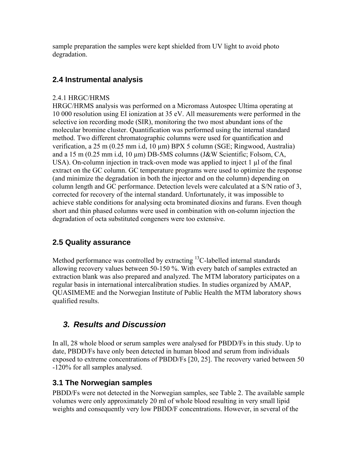sample preparation the samples were kept shielded from UV light to avoid photo degradation.

#### **2.4 Instrumental analysis**

#### 2.4.1 HRGC/HRMS

HRGC/HRMS analysis was performed on a Micromass Autospec Ultima operating at 10 000 resolution using EI ionization at 35 eV. All measurements were performed in the selective ion recording mode (SIR), monitoring the two most abundant ions of the molecular bromine cluster. Quantification was performed using the internal standard method. Two different chromatographic columns were used for quantification and verification, a 25 m (0.25 mm i.d, 10 µm) BPX 5 column (SGE; Ringwood, Australia) and a 15 m (0.25 mm i.d, 10 µm) DB-5MS columns (J&W Scientific; Folsom, CA, USA). On-column injection in track-oven mode was applied to inject 1 µl of the final extract on the GC column. GC temperature programs were used to optimize the response (and minimize the degradation in both the injector and on the column) depending on column length and GC performance. Detection levels were calculated at a S/N ratio of 3, corrected for recovery of the internal standard. Unfortunately, it was impossible to achieve stable conditions for analysing octa brominated dioxins and furans. Even though short and thin phased columns were used in combination with on-column injection the degradation of octa substituted congeners were too extensive.

#### **2.5 Quality assurance**

Method performance was controlled by extracting  ${}^{13}C$ -labelled internal standards allowing recovery values between 50-150 %. With every batch of samples extracted an extraction blank was also prepared and analyzed. The MTM laboratory participates on a regular basis in international intercalibration studies. In studies organized by AMAP, QUASIMEME and the Norwegian Institute of Public Health the MTM laboratory shows qualified results.

# *3. Results and Discussion*

In all, 28 whole blood or serum samples were analysed for PBDD/Fs in this study. Up to date, PBDD/Fs have only been detected in human blood and serum from individuals exposed to extreme concentrations of PBDD/Fs [20, 25]. The recovery varied between 50 -120% for all samples analysed.

#### **3.1 The Norwegian samples**

PBDD/Fs were not detected in the Norwegian samples, see Table 2. The available sample volumes were only approximately 20 ml of whole blood resulting in very small lipid weights and consequently very low PBDD/F concentrations. However, in several of the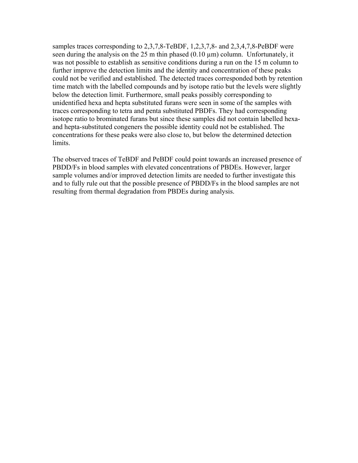samples traces corresponding to 2,3,7,8-TeBDF, 1,2,3,7,8- and 2,3,4,7,8-PeBDF were seen during the analysis on the  $25$  m thin phased  $(0.10 \,\mu m)$  column. Unfortunately, it was not possible to establish as sensitive conditions during a run on the 15 m column to further improve the detection limits and the identity and concentration of these peaks could not be verified and established. The detected traces corresponded both by retention time match with the labelled compounds and by isotope ratio but the levels were slightly below the detection limit. Furthermore, small peaks possibly corresponding to unidentified hexa and hepta substituted furans were seen in some of the samples with traces corresponding to tetra and penta substituted PBDFs. They had corresponding isotope ratio to brominated furans but since these samples did not contain labelled hexaand hepta-substituted congeners the possible identity could not be established. The concentrations for these peaks were also close to, but below the determined detection limits.

The observed traces of TeBDF and PeBDF could point towards an increased presence of PBDD/Fs in blood samples with elevated concentrations of PBDEs. However, larger sample volumes and/or improved detection limits are needed to further investigate this and to fully rule out that the possible presence of PBDD/Fs in the blood samples are not resulting from thermal degradation from PBDEs during analysis.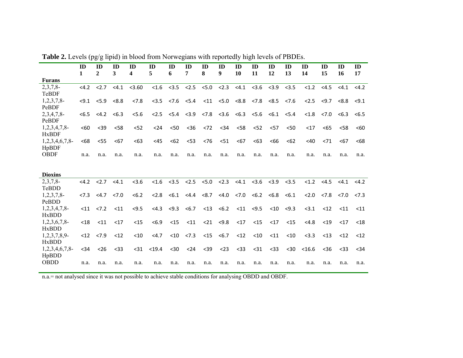|                   | ID<br>$\mathbf{1}$ | ID<br>$\mathbf{2}$                                                | ID<br>3         | ID<br>4 | ID<br>5         | ID<br>6 | ID<br>7                                                                 | ID<br>8 | ID<br>9              | ID<br>10      | ID<br>11                    | ID<br>12      | ID<br>13 | ID<br>14 | ID<br>15                                                                                | ID<br>16 | ID<br>17 |
|-------------------|--------------------|-------------------------------------------------------------------|-----------------|---------|-----------------|---------|-------------------------------------------------------------------------|---------|----------------------|---------------|-----------------------------|---------------|----------|----------|-----------------------------------------------------------------------------------------|----------|----------|
| <b>Furans</b>     |                    |                                                                   |                 |         |                 |         |                                                                         |         |                      |               |                             |               |          |          |                                                                                         |          |          |
| 2,3,7,8           | $<$ 4.2            |                                                                   | $< 2.7$ $< 4.1$ | < 3.60  | < 1.6           |         | $< 3.5$ $< 2.5$ $< 5.0$ $< 2.3$                                         |         |                      |               | $<4.1$ $<3.6$ $<3.9$ $<3.5$ |               |          | < 1.2    | < 4.5                                                                                   | < 4.1    | <4.2     |
| TeBDF             |                    |                                                                   |                 |         |                 |         |                                                                         |         |                      |               |                             |               |          |          |                                                                                         |          |          |
| $1,2,3,7,8$ -     |                    | $< 9.1$ $< 5.9$ $< 8.8$                                           |                 | 27.8    |                 |         | $<$ 3.5 $<$ 7.6 $<$ 5.4 $<$ 11 $<$ 5.0 $<$ 8.8 $<$ 7.8 $<$ 8.5 $<$ 7.6  |         |                      |               |                             |               |          |          | $< 2.5$ $< 9.7$                                                                         | <8.8     | < 9.1    |
| PeBDF             |                    |                                                                   |                 |         |                 |         |                                                                         |         |                      |               |                             |               |          |          |                                                                                         |          |          |
| $2,3,4,7,8$ -     | <6.5               |                                                                   | $<4.2$ $<6.3$   | 5.6     | < 2.5           |         | $5.4$ $5.9$ $5.8$ $5.6$ $5.3$ $5.6$ $5.1$                               |         |                      |               |                             |               | < 5.4    | < 1.8    | < 7.0                                                                                   | <6.3     | <6.5     |
| PeBDF             |                    |                                                                   |                 |         |                 |         |                                                                         |         |                      |               |                             |               |          |          |                                                                                         |          |          |
| $1,2,3,4,7,8$ -   | < 60               | $39$                                                              | < 58            | < 52    | $24$            | < 50    | $<$ 36                                                                  | < 72    |                      | $< 34$ $< 58$ |                             | $< 52$ $< 57$ | < 50     | $17$     | <65                                                                                     | $<$ 58   | < 60     |
| <b>HxBDF</b>      |                    |                                                                   |                 |         |                 |         |                                                                         |         |                      |               |                             |               |          |          |                                                                                         |          |          |
| $1,2,3,4,6,7,8$ - | <68                | $<$ 55                                                            | $67$            | <63     | <45             | < 62    | $<$ 53                                                                  | <76     | $51$                 | $67$          | <63                         | <66           | <62      | $<$ 40   | < 71                                                                                    | < 67     | <68      |
| HpBDF             |                    |                                                                   |                 |         |                 |         |                                                                         |         |                      |               |                             |               |          |          |                                                                                         |          |          |
| <b>OBDF</b>       | n.a.               | n.a.                                                              | n.a.            | n.a.    | n.a.            | n.a.    | n.a.                                                                    | n.a.    | n.a.                 | n.a.          | n.a.                        | n.a.          | n.a.     | n.a.     | n.a.                                                                                    | n.a.     | n.a.     |
|                   |                    | $<4.2$ $<2.7$ $<4.1$                                              |                 | < 3.6   |                 |         | $< 1.6$ $< 3.5$ $< 2.5$ $< 5.0$ $< 2.3$ $< 4.1$ $< 3.6$ $< 3.9$ $< 3.5$ |         |                      |               |                             |               |          |          | $< 1.2$ $< 4.5$                                                                         | < 4.1    | <4.2     |
| <b>Dioxins</b>    |                    |                                                                   |                 |         |                 |         |                                                                         |         |                      |               |                             |               |          |          |                                                                                         |          |          |
| 2,3,7,8<br>TeBDD  |                    |                                                                   |                 |         |                 |         |                                                                         |         |                      |               |                             |               |          |          |                                                                                         |          |          |
| $1,2,3,7,8$ -     |                    | $\langle 7.3 \rangle$ $\langle 4.7 \rangle$ $\langle 7.0 \rangle$ |                 | < 6.2   |                 |         | <2.8 <6.1 <4.4 <8.7 <4.0 <7.0 <6.2 <6.8 <6.1                            |         |                      |               |                             |               |          |          | $\langle 2.0 \rangle$ $\langle 7.8 \rangle$ $\langle 7.0 \rangle$ $\langle 7.3 \rangle$ |          |          |
| PeBDD             |                    |                                                                   |                 |         |                 |         |                                                                         |         |                      |               |                             |               |          |          |                                                                                         |          |          |
| $1,2,3,4,7,8$ -   |                    | $< 11$ $< 7.2$                                                    | $<$ 11          | < 9.5   |                 |         | <4.3 <9.3 <6.7 <13 <6.2 <11 <9.5 <10 <9.3                               |         |                      |               |                             |               |          | < 3.1    | <12                                                                                     | $<$ 11   | $11$     |
| <b>HxBDD</b>      |                    |                                                                   |                 |         |                 |         |                                                                         |         |                      |               |                             |               |          |          |                                                                                         |          |          |
| $1,2,3,6,7,8$ -   | $18$               | $<$ 11                                                            | $17$            | $15$    | < 6.9           |         | $< 15$ $< 11$ $< 21$ $< 9.8$ $< 17$                                     |         |                      |               |                             | $< 15$ $< 17$ | $15$     | < 4.8    | $19$                                                                                    | $<$ 17   | $18$     |
| <b>HxBDD</b>      |                    |                                                                   |                 |         |                 |         |                                                                         |         |                      |               |                             |               |          |          |                                                                                         |          |          |
| $1,2,3,7,8,9$ -   |                    | $< 12$ $< 7.9$                                                    | < 12            | $<$ 10  | <4.7            |         | $< 10 \le 7.3$                                                          |         | $< 15$ $< 6.7$       | $<$ 12        | $<$ 10                      | $<$ 11        | $<$ 10   | < 3.3    | $<$ 13                                                                                  | $12$     | $<$ 12   |
| <b>HxBDD</b>      |                    |                                                                   |                 |         |                 |         |                                                                         |         |                      |               |                             |               |          |          |                                                                                         |          |          |
| $1,2,3,4,6,7,8$ - | $34$               | $<$ 26                                                            | $<$ 33          |         | $< 31$ $< 19.4$ | $30$    |                                                                         |         | $< 24$ $< 39$ $< 23$ | $33$          | $31$                        | $33$          | $30$     | < 16.6   | $36$                                                                                    | $<$ 33   | $34$     |
| HpBDD             |                    |                                                                   |                 |         |                 |         |                                                                         |         |                      |               |                             |               |          |          |                                                                                         |          |          |
| <b>OBDD</b>       | n.a.               | n.a.                                                              | n.a.            | n.a.    | n.a.            | n.a.    | n.a.                                                                    | n.a.    | n.a.                 | n.a.          | n.a.                        | n.a.          | n.a.     | n.a.     | n.a.                                                                                    | n.a.     | n.a.     |
|                   |                    |                                                                   |                 |         |                 |         |                                                                         |         |                      |               |                             |               |          |          |                                                                                         |          |          |

**Table 2.** Levels (pg/g lipid) in blood from Norwegians with reportedly high levels of PBDEs.

n.a.= not analysed since it was not possible to achieve stable conditions for analysing OBDD and OBDF.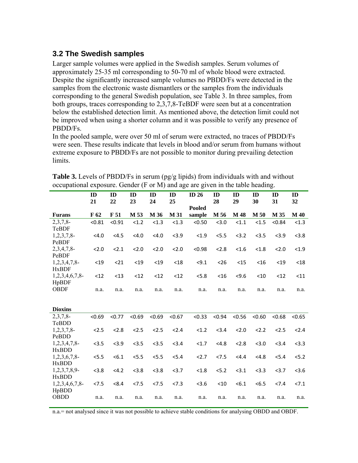#### **3.2 The Swedish samples**

Larger sample volumes were applied in the Swedish samples. Serum volumes of approximately 25-35 ml corresponding to 50-70 ml of whole blood were extracted. Despite the significantly increased sample volumes no PBDD/Fs were detected in the samples from the electronic waste dismantlers or the samples from the individuals corresponding to the general Swedish population, see Table 3. In three samples, from both groups, traces corresponding to 2,3,7,8-TeBDF were seen but at a concentration below the established detection limit. As mentioned above, the detection limit could not be improved when using a shorter column and it was possible to verify any presence of PBDD/Fs.

In the pooled sample, were over 50 ml of serum were extracted, no traces of PBDD/Fs were seen. These results indicate that levels in blood and/or serum from humans without extreme exposure to PBDD/Fs are not possible to monitor during prevailing detection limits.

|                      | ID     | ID     | ID     | ID     | ID     | ID $26$          | ID     | ID     | ID     | ID     | ID          |
|----------------------|--------|--------|--------|--------|--------|------------------|--------|--------|--------|--------|-------------|
|                      | 21     | 22     | 23     | 24     | 25     |                  | 28     | 29     | 30     | 31     | 32          |
| <b>Furans</b>        | F 62   | F 51   | M 53   | M 36   | M 31   | Pooled<br>sample | M 56   | M 48   | M 50   | M 35   | <b>M</b> 40 |
| 2,3,7,8              | < 0.81 | < 0.91 | < 1.2  | < 1.3  | < 1.3  | < 0.50           | < 3.0  | < 1.1  | < 1.5  | < 0.84 | < 1.3       |
| TeBDF                |        |        |        |        |        |                  |        |        |        |        |             |
| $1,2,3,7,8$ -        | < 4.0  | <4.5   | < 4.0  | < 4.0  | < 3.9  | < 1.9            | < 5.5  | < 3.2  | < 3.5  | < 3.9  | < 3.8       |
| PeBDF                |        |        |        |        |        |                  |        |        |        |        |             |
| 2,3,4,7,8            | 2.0    | 2.1    | 2.0    | 2.0    | 2.0    | < 0.98           | < 2.8  | < 1.6  | < 1.8  | 2.0    | < 1.9       |
| PeBDF                |        |        |        |        |        |                  |        |        |        |        |             |
| $1,2,3,4,7,8$ -      | $19$   | $21$   | $19$   | $19$   | $18$   | < 9.1            | < 26   | $15$   | $<$ 16 | $19$   | $18$        |
| <b>HxBDF</b>         |        |        |        |        |        |                  |        |        |        |        |             |
| $1,2,3,4,6,7,8$ -    | $12$   | $13$   | $12$   | $12$   | $12$   | < 5.8            | $<$ 16 | 54.6   | $<$ 10 | $12$   | $11$        |
| HpBDF                |        |        |        |        |        |                  |        |        |        |        |             |
| <b>OBDF</b>          | n.a.   | n.a.   | n.a.   | n.a.   | n.a.   | n.a.             | n.a.   | n.a.   | n.a.   | n.a.   | n.a.        |
|                      |        |        |        |        |        |                  |        |        |        |        |             |
| <b>Dioxins</b>       |        |        |        |        |        |                  |        |        |        |        |             |
| 2,3,7,8              | < 0.69 | < 0.77 | < 0.69 | < 0.69 | < 0.67 | < 0.33           | < 0.94 | < 0.56 | < 0.60 | < 0.68 | < 0.65      |
| TeBDD                |        |        |        |        |        |                  |        |        |        |        |             |
| $1,2,3,7,8$ -        | 2.5    | 2.8    | 2.5    | 2.5    | 2.4    | < 1.2            | < 3.4  | 2.0    | 2.2    | 2.5    | 2.4         |
| PeBDD                |        |        |        |        |        |                  |        |        |        |        |             |
| $1,2,3,4,7,8$ -      | < 3.5  | < 3.9  | < 3.5  | < 3.5  | < 3.4  | <1.7             | < 4.8  | 2.8    | < 3.0  | < 3.4  | < 3.3       |
| <b>HxBDD</b>         |        |        |        |        |        |                  |        |        |        |        |             |
| 1,2,3,6,7,8          | < 5.5  | < 6.1  | < 5.5  | < 5.5  | < 5.4  | 2.7              | < 7.5  | <4.4   | < 4.8  | < 5.4  | 5.2         |
| <b>HxBDD</b>         |        |        |        |        |        |                  |        |        |        |        |             |
| 1,2,3,7,8,9-         | < 3.8  | <4.2   | < 3.8  | < 3.8  | < 3.7  | < 1.8            | < 5.2  | < 3.1  | < 3.3  | < 3.7  | 3.6         |
| <b>HxBDD</b>         |        |        |        |        |        |                  |        |        |        |        |             |
| 1,2,3,4,6,7,8        | < 7.5  | < 8.4  | < 7.5  | 27.5   | 27.3   | 3.6              | < 10   | < 6.1  | < 6.5  | 27.4   | 27.1        |
| HpBDD<br><b>OBDD</b> | n.a.   | n.a.   | n.a.   | n.a.   | n.a.   | n.a.             | n.a.   | n.a.   | n.a.   | n.a.   | n.a.        |
|                      |        |        |        |        |        |                  |        |        |        |        |             |

**Table 3.** Levels of PBDD/Fs in serum (pg/g lipids) from individuals with and without occupational exposure. Gender (F or M) and age are given in the table heading.

n.a.= not analysed since it was not possible to achieve stable conditions for analysing OBDD and OBDF.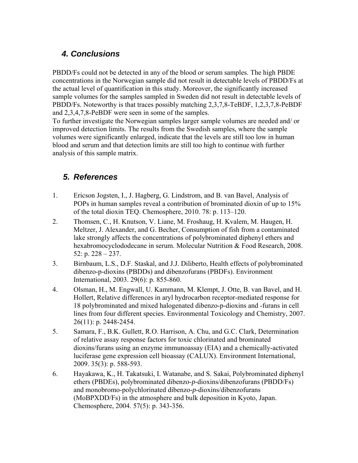# *4. Conclusions*

PBDD/Fs could not be detected in any of the blood or serum samples. The high PBDE concentrations in the Norwegian sample did not result in detectable levels of PBDD/Fs at the actual level of quantification in this study. Moreover, the significantly increased sample volumes for the samples sampled in Sweden did not result in detectable levels of PBDD/Fs. Noteworthy is that traces possibly matching 2,3,7,8-TeBDF, 1,2,3,7,8-PeBDF and 2,3,4,7,8-PeBDF were seen in some of the samples.

To further investigate the Norwegian samples larger sample volumes are needed and/ or improved detection limits. The results from the Swedish samples, where the sample volumes were significantly enlarged, indicate that the levels are still too low in human blood and serum and that detection limits are still too high to continue with further analysis of this sample matrix.

#### *5. References*

- 1. Ericson Jogsten, I., J. Hagberg, G. Lindstrom, and B. van Bavel, Analysis of POPs in human samples reveal a contribution of brominated dioxin of up to 15% of the total dioxin TEQ. Chemosphere, 2010. 78: p. 113–120.
- 2. Thomsen, C., H. Knutson, V. Liane, M. Froshaug, H. Kvalem, M. Haugen, H. Meltzer, J. Alexander, and G. Becher, Consumption of fish from a contaminated lake strongly affects the concentrations of polybrominated diphenyl ethers and hexabromocyclododecane in serum. Molecular Nutrition & Food Research, 2008. 52: p. 228 – 237.
- 3. Birnbaum, L.S., D.F. Staskal, and J.J. Diliberto, Health effects of polybrominated dibenzo-p-dioxins (PBDDs) and dibenzofurans (PBDFs). Environment International, 2003. 29(6): p. 855-860.
- 4. Olsman, H., M. Engwall, U. Kammann, M. Klempt, J. Otte, B. van Bavel, and H. Hollert, Relative differences in aryl hydrocarbon receptor-mediated response for 18 polybrominated and mixed halogenated dibenzo-p-dioxins and -furans in cell lines from four different species. Environmental Toxicology and Chemistry, 2007. 26(11): p. 2448-2454.
- 5. Samara, F., B.K. Gullett, R.O. Harrison, A. Chu, and G.C. Clark, Determination of relative assay response factors for toxic chlorinated and brominated dioxins/furans using an enzyme immunoassay (EIA) and a chemically-activated luciferase gene expression cell bioassay (CALUX). Environment International, 2009. 35(3): p. 588-593.
- 6. Hayakawa, K., H. Takatsuki, I. Watanabe, and S. Sakai, Polybrominated diphenyl ethers (PBDEs), polybrominated dibenzo-*p*-dioxins/dibenzofurans (PBDD/Fs) and monobromo-polychlorinated dibenzo-*p*-dioxins/dibenzofurans (MoBPXDD/Fs) in the atmosphere and bulk deposition in Kyoto, Japan. Chemosphere, 2004. 57(5): p. 343-356.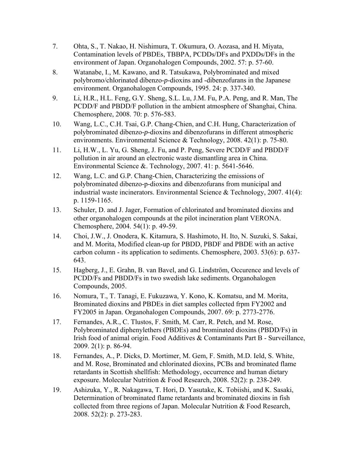- 7. Ohta, S., T. Nakao, H. Nishimura, T. Okumura, O. Aozasa, and H. Miyata, Contamination levels of PBDEs, TBBPA, PCDDs/DFs and PXDDs/DFs in the environment of Japan. Organohalogen Compounds, 2002. 57: p. 57-60.
- 8. Watanabe, I., M. Kawano, and R. Tatsukawa, Polybrominated and mixed polybromo/chlorinated dibenzo-*p*-dioxins and -dibenzofurans in the Japanese environment. Organohalogen Compounds, 1995. 24: p. 337-340.
- 9. Li, H.R., H.L. Feng, G.Y. Sheng, S.L. Lu, J.M. Fu, P.A. Peng, and R. Man, The PCDD/F and PBDD/F pollution in the ambient atmosphere of Shanghai, China. Chemosphere, 2008. 70: p. 576-583.
- 10. Wang, L.C., C.H. Tsai, G.P. Chang-Chien, and C.H. Hung, Characterization of polybrominated dibenzo-*p*-dioxins and dibenzofurans in different atmospheric environments. Environmental Science & Technology, 2008. 42(1): p. 75-80.
- 11. Li, H.W., L. Yu, G. Sheng, J. Fu, and P. Peng, Severe PCDD/F and PBDD/F pollution in air around an electronic waste dismantling area in China. Environmental Science &. Technology, 2007. 41: p. 5641-5646.
- 12. Wang, L.C. and G.P. Chang-Chien, Characterizing the emissions of polybrominated dibenzo-p-dioxins and dibenzofurans from municipal and industrial waste incinerators. Environmental Science & Technology, 2007. 41(4): p. 1159-1165.
- 13. Schuler, D. and J. Jager, Formation of chlorinated and brominated dioxins and other organohalogen compounds at the pilot incineration plant VERONA. Chemosphere, 2004. 54(1): p. 49-59.
- 14. Choi, J.W., J. Onodera, K. Kitamura, S. Hashimoto, H. Ito, N. Suzuki, S. Sakai, and M. Morita, Modified clean-up for PBDD, PBDF and PBDE with an active carbon column - its application to sediments. Chemosphere, 2003. 53(6): p. 637- 643.
- 15. Hagberg, J., E. Grahn, B. van Bavel, and G. Lindström, Occurence and levels of PCDD/Fs and PBDD/Fs in two swedish lake sediments. Organohalogen Compounds, 2005.
- 16. Nomura, T., T. Tanagi, E. Fukuzawa, Y. Kono, K. Komatsu, and M. Morita, Brominated dioxins and PBDEs in diet samples collected frpm FY2002 and FY2005 in Japan. Organohalogen Compounds, 2007. 69: p. 2773-2776.
- 17. Fernandes, A.R., C. Tlustos, F. Smith, M. Carr, R. Petch, and M. Rose, Polybrominated diphenylethers (PBDEs) and brominated dioxins (PBDD/Fs) in Irish food of animal origin. Food Additives & Contaminants Part B - Surveillance, 2009. 2(1): p. 86-94.
- 18. Fernandes, A., P. Dicks, D. Mortimer, M. Gem, F. Smith, M.D. Ield, S. White, and M. Rose, Brominated and chlorinated dioxins, PCBs and brominated flame retardants in Scottish shellfish: Methodology, occurrence and human dietary exposure. Molecular Nutrition & Food Research, 2008. 52(2): p. 238-249.
- 19. Ashizuka, Y., R. Nakagawa, T. Hori, D. Yasutake, K. Tobiishi, and K. Sasaki, Determination of brominated flame retardants and brominated dioxins in fish collected from three regions of Japan. Molecular Nutrition & Food Research, 2008. 52(2): p. 273-283.